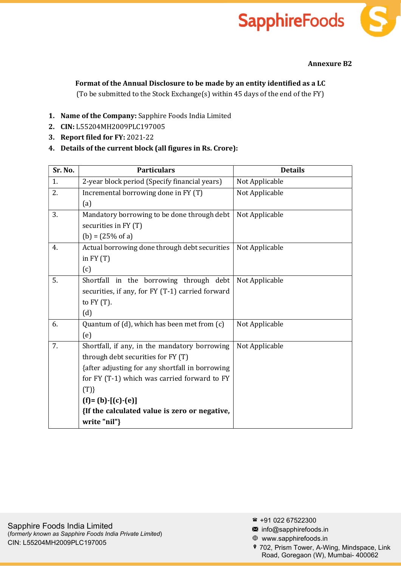## **SapphireFoods**

## Annexure B2

## Format of the Annual Disclosure to be made by an entity identified as a LC

(To be submitted to the Stock Exchange(s) within 45 days of the end of the FY)

- 1. Name of the Company: Sapphire Foods India Limited
- 2. CIN: L55204MH2009PLC197005
- 3. Report filed for FY: 2021-22
- 4. Details of the current block (all figures in Rs. Crore):

| Sr. No. | <b>Particulars</b>                               | <b>Details</b> |
|---------|--------------------------------------------------|----------------|
| 1.      | 2-year block period (Specify financial years)    | Not Applicable |
| 2.      | Incremental borrowing done in FY (T)             | Not Applicable |
|         | (a)                                              |                |
| 3.      | Mandatory borrowing to be done through debt      | Not Applicable |
|         | securities in FY (T)                             |                |
|         | $(b) = (25\% \text{ of a})$                      |                |
| 4.      | Actual borrowing done through debt securities    | Not Applicable |
|         | in $FY(T)$                                       |                |
|         | (c)                                              |                |
| 5.      | Shortfall in the borrowing through debt          | Not Applicable |
|         | securities, if any, for FY (T-1) carried forward |                |
|         | to $FY(T)$ .                                     |                |
|         | (d)                                              |                |
| 6.      | Quantum of (d), which has been met from (c)      | Not Applicable |
|         | (e)                                              |                |
| 7.      | Shortfall, if any, in the mandatory borrowing    | Not Applicable |
|         | through debt securities for FY (T)               |                |
|         | {after adjusting for any shortfall in borrowing  |                |
|         | for FY (T-1) which was carried forward to FY     |                |
|         | $(T)\}$                                          |                |
|         | $(f)=(b)-[(c)-(e)]$                              |                |
|         | {If the calculated value is zero or negative,    |                |
|         | write "nil"}                                     |                |

- $*$  +91 022 67522300
- $\blacksquare$  info@sapphirefoods.in
- www.sapphirefoods.in
- 702, Prism Tower, A-Wing, Mindspace, Link Road, Goregaon (W), Mumbai- 400062